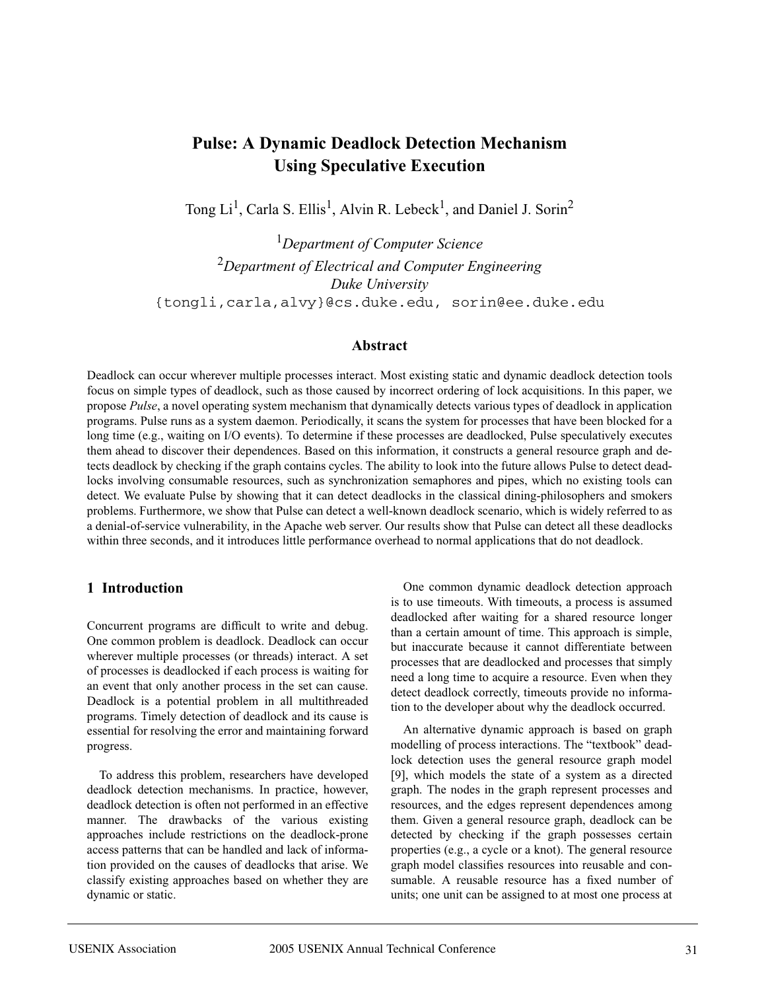# **Pulse: A Dynamic Deadlock Detection Mechanism Using Speculative Execution**

Tong Li<sup>1</sup>, Carla S. Ellis<sup>1</sup>, Alvin R. Lebeck<sup>1</sup>, and Daniel J. Sorin<sup>2</sup>

1 *Department of Computer Science* <sup>2</sup>*Department of Electrical and Computer Engineering Duke University* {tongli,carla,alvy}@cs.duke.edu, sorin@ee.duke.edu

#### **Abstract**

Deadlock can occur wherever multiple processes interact. Most existing static and dynamic deadlock detection tools focus on simple types of deadlock, such as those caused by incorrect ordering of lock acquisitions. In this paper, we propose *Pulse*, a novel operating system mechanism that dynamically detects various types of deadlock in application programs. Pulse runs as a system daemon. Periodically, it scans the system for processes that have been blocked for a long time (e.g., waiting on I/O events). To determine if these processes are deadlocked, Pulse speculatively executes them ahead to discover their dependences. Based on this information, it constructs a general resource graph and detects deadlock by checking if the graph contains cycles. The ability to look into the future allows Pulse to detect deadlocks involving consumable resources, such as synchronization semaphores and pipes, which no existing tools can detect. We evaluate Pulse by showing that it can detect deadlocks in the classical dining-philosophers and smokers problems. Furthermore, we show that Pulse can detect a well-known deadlock scenario, which is widely referred to as a denial-of-service vulnerability, in the Apache web server. Our results show that Pulse can detect all these deadlocks within three seconds, and it introduces little performance overhead to normal applications that do not deadlock.

### **1 Introduction**

Concurrent programs are difficult to write and debug. One common problem is deadlock. Deadlock can occur wherever multiple processes (or threads) interact. A set of processes is deadlocked if each process is waiting for an event that only another process in the set can cause. Deadlock is a potential problem in all multithreaded programs. Timely detection of deadlock and its cause is essential for resolving the error and maintaining forward progress.

To address this problem, researchers have developed deadlock detection mechanisms. In practice, however, deadlock detection is often not performed in an effective manner. The drawbacks of the various existing approaches include restrictions on the deadlock-prone access patterns that can be handled and lack of information provided on the causes of deadlocks that arise. We classify existing approaches based on whether they are dynamic or static.

One common dynamic deadlock detection approach is to use timeouts. With timeouts, a process is assumed deadlocked after waiting for a shared resource longer than a certain amount of time. This approach is simple, but inaccurate because it cannot differentiate between processes that are deadlocked and processes that simply need a long time to acquire a resource. Even when they detect deadlock correctly, timeouts provide no information to the developer about why the deadlock occurred.

An alternative dynamic approach is based on graph modelling of process interactions. The "textbook" deadlock detection uses the general resource graph model [9], which models the state of a system as a directed graph. The nodes in the graph represent processes and resources, and the edges represent dependences among them. Given a general resource graph, deadlock can be detected by checking if the graph possesses certain properties (e.g., a cycle or a knot). The general resource graph model classifies resources into reusable and consumable. A reusable resource has a fixed number of units; one unit can be assigned to at most one process at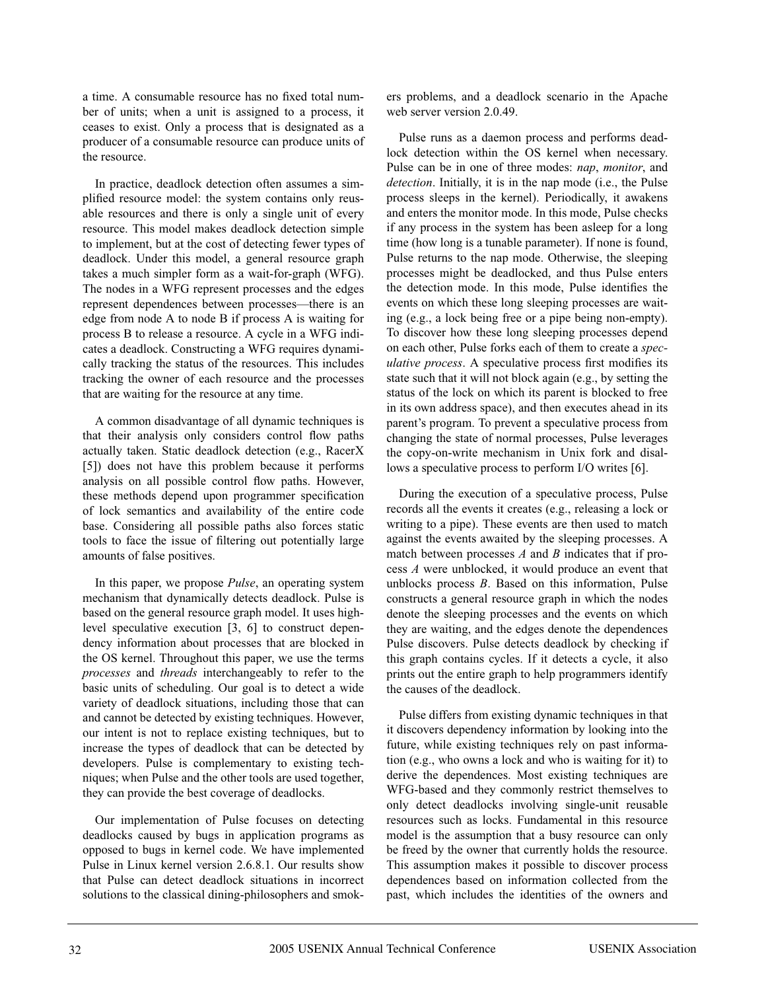a time. A consumable resource has no fixed total number of units; when a unit is assigned to a process, it ceases to exist. Only a process that is designated as a producer of a consumable resource can produce units of the resource.

In practice, deadlock detection often assumes a simplified resource model: the system contains only reusable resources and there is only a single unit of every resource. This model makes deadlock detection simple to implement, but at the cost of detecting fewer types of deadlock. Under this model, a general resource graph takes a much simpler form as a wait-for-graph (WFG). The nodes in a WFG represent processes and the edges represent dependences between processes—there is an edge from node A to node B if process A is waiting for process B to release a resource. A cycle in a WFG indicates a deadlock. Constructing a WFG requires dynamically tracking the status of the resources. This includes tracking the owner of each resource and the processes that are waiting for the resource at any time.

A common disadvantage of all dynamic techniques is that their analysis only considers control flow paths actually taken. Static deadlock detection (e.g., RacerX [5]) does not have this problem because it performs analysis on all possible control flow paths. However, these methods depend upon programmer specification of lock semantics and availability of the entire code base. Considering all possible paths also forces static tools to face the issue of filtering out potentially large amounts of false positives.

In this paper, we propose *Pulse*, an operating system mechanism that dynamically detects deadlock. Pulse is based on the general resource graph model. It uses highlevel speculative execution [3, 6] to construct dependency information about processes that are blocked in the OS kernel. Throughout this paper, we use the terms *processes* and *threads* interchangeably to refer to the basic units of scheduling. Our goal is to detect a wide variety of deadlock situations, including those that can and cannot be detected by existing techniques. However, our intent is not to replace existing techniques, but to increase the types of deadlock that can be detected by developers. Pulse is complementary to existing techniques; when Pulse and the other tools are used together, they can provide the best coverage of deadlocks.

Our implementation of Pulse focuses on detecting deadlocks caused by bugs in application programs as opposed to bugs in kernel code. We have implemented Pulse in Linux kernel version 2.6.8.1. Our results show that Pulse can detect deadlock situations in incorrect solutions to the classical dining-philosophers and smokers problems, and a deadlock scenario in the Apache web server version 2.0.49.

Pulse runs as a daemon process and performs deadlock detection within the OS kernel when necessary. Pulse can be in one of three modes: *nap*, *monitor*, and *detection*. Initially, it is in the nap mode (i.e., the Pulse process sleeps in the kernel). Periodically, it awakens and enters the monitor mode. In this mode, Pulse checks if any process in the system has been asleep for a long time (how long is a tunable parameter). If none is found, Pulse returns to the nap mode. Otherwise, the sleeping processes might be deadlocked, and thus Pulse enters the detection mode. In this mode, Pulse identifies the events on which these long sleeping processes are waiting (e.g., a lock being free or a pipe being non-empty). To discover how these long sleeping processes depend on each other, Pulse forks each of them to create a *speculative process*. A speculative process first modifies its state such that it will not block again (e.g., by setting the status of the lock on which its parent is blocked to free in its own address space), and then executes ahead in its parent's program. To prevent a speculative process from changing the state of normal processes, Pulse leverages the copy-on-write mechanism in Unix fork and disallows a speculative process to perform I/O writes [6].

During the execution of a speculative process, Pulse records all the events it creates (e.g., releasing a lock or writing to a pipe). These events are then used to match against the events awaited by the sleeping processes. A match between processes *A* and *B* indicates that if process *A* were unblocked, it would produce an event that unblocks process *B*. Based on this information, Pulse constructs a general resource graph in which the nodes denote the sleeping processes and the events on which they are waiting, and the edges denote the dependences Pulse discovers. Pulse detects deadlock by checking if this graph contains cycles. If it detects a cycle, it also prints out the entire graph to help programmers identify the causes of the deadlock.

Pulse differs from existing dynamic techniques in that it discovers dependency information by looking into the future, while existing techniques rely on past information (e.g., who owns a lock and who is waiting for it) to derive the dependences. Most existing techniques are WFG-based and they commonly restrict themselves to only detect deadlocks involving single-unit reusable resources such as locks. Fundamental in this resource model is the assumption that a busy resource can only be freed by the owner that currently holds the resource. This assumption makes it possible to discover process dependences based on information collected from the past, which includes the identities of the owners and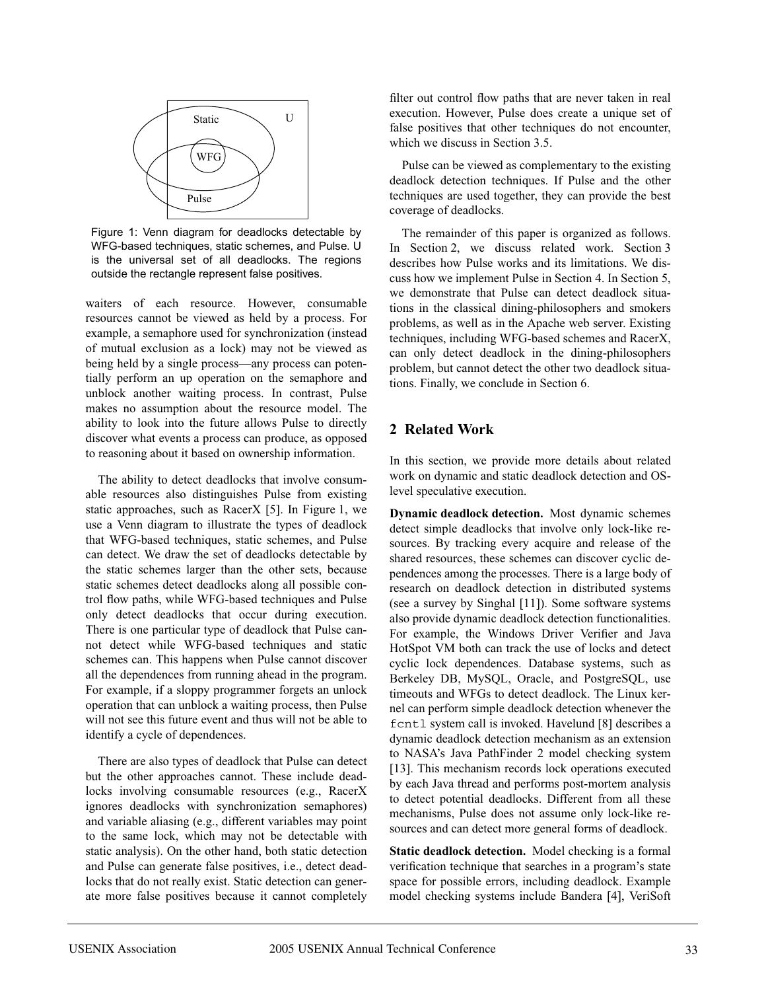

Figure 1: Venn diagram for deadlocks detectable by WFG-based techniques, static schemes, and Pulse. U is the universal set of all deadlocks. The regions outside the rectangle represent false positives.

waiters of each resource. However, consumable resources cannot be viewed as held by a process. For example, a semaphore used for synchronization (instead of mutual exclusion as a lock) may not be viewed as being held by a single process—any process can potentially perform an up operation on the semaphore and unblock another waiting process. In contrast, Pulse makes no assumption about the resource model. The ability to look into the future allows Pulse to directly discover what events a process can produce, as opposed to reasoning about it based on ownership information.

The ability to detect deadlocks that involve consumable resources also distinguishes Pulse from existing static approaches, such as RacerX [5]. In Figure 1, we use a Venn diagram to illustrate the types of deadlock that WFG-based techniques, static schemes, and Pulse can detect. We draw the set of deadlocks detectable by the static schemes larger than the other sets, because static schemes detect deadlocks along all possible control flow paths, while WFG-based techniques and Pulse only detect deadlocks that occur during execution. There is one particular type of deadlock that Pulse cannot detect while WFG-based techniques and static schemes can. This happens when Pulse cannot discover all the dependences from running ahead in the program. For example, if a sloppy programmer forgets an unlock operation that can unblock a waiting process, then Pulse will not see this future event and thus will not be able to identify a cycle of dependences.

There are also types of deadlock that Pulse can detect but the other approaches cannot. These include deadlocks involving consumable resources (e.g., RacerX ignores deadlocks with synchronization semaphores) and variable aliasing (e.g., different variables may point to the same lock, which may not be detectable with static analysis). On the other hand, both static detection and Pulse can generate false positives, i.e., detect deadlocks that do not really exist. Static detection can generate more false positives because it cannot completely filter out control flow paths that are never taken in real execution. However, Pulse does create a unique set of false positives that other techniques do not encounter, which we discuss in Section 3.5.

Pulse can be viewed as complementary to the existing deadlock detection techniques. If Pulse and the other techniques are used together, they can provide the best coverage of deadlocks.

The remainder of this paper is organized as follows. In Section 2, we discuss related work. Section 3 describes how Pulse works and its limitations. We discuss how we implement Pulse in Section 4. In Section 5, we demonstrate that Pulse can detect deadlock situations in the classical dining-philosophers and smokers problems, as well as in the Apache web server. Existing techniques, including WFG-based schemes and RacerX, can only detect deadlock in the dining-philosophers problem, but cannot detect the other two deadlock situations. Finally, we conclude in Section 6.

### **2 Related Work**

In this section, we provide more details about related work on dynamic and static deadlock detection and OSlevel speculative execution.

**Dynamic deadlock detection.** Most dynamic schemes detect simple deadlocks that involve only lock-like resources. By tracking every acquire and release of the shared resources, these schemes can discover cyclic dependences among the processes. There is a large body of research on deadlock detection in distributed systems (see a survey by Singhal [11]). Some software systems also provide dynamic deadlock detection functionalities. For example, the Windows Driver Verifier and Java HotSpot VM both can track the use of locks and detect cyclic lock dependences. Database systems, such as Berkeley DB, MySQL, Oracle, and PostgreSQL, use timeouts and WFGs to detect deadlock. The Linux kernel can perform simple deadlock detection whenever the fcntl system call is invoked. Havelund [8] describes a dynamic deadlock detection mechanism as an extension to NASA's Java PathFinder 2 model checking system [13]. This mechanism records lock operations executed by each Java thread and performs post-mortem analysis to detect potential deadlocks. Different from all these mechanisms, Pulse does not assume only lock-like resources and can detect more general forms of deadlock.

**Static deadlock detection.** Model checking is a formal verification technique that searches in a program's state space for possible errors, including deadlock. Example model checking systems include Bandera [4], VeriSoft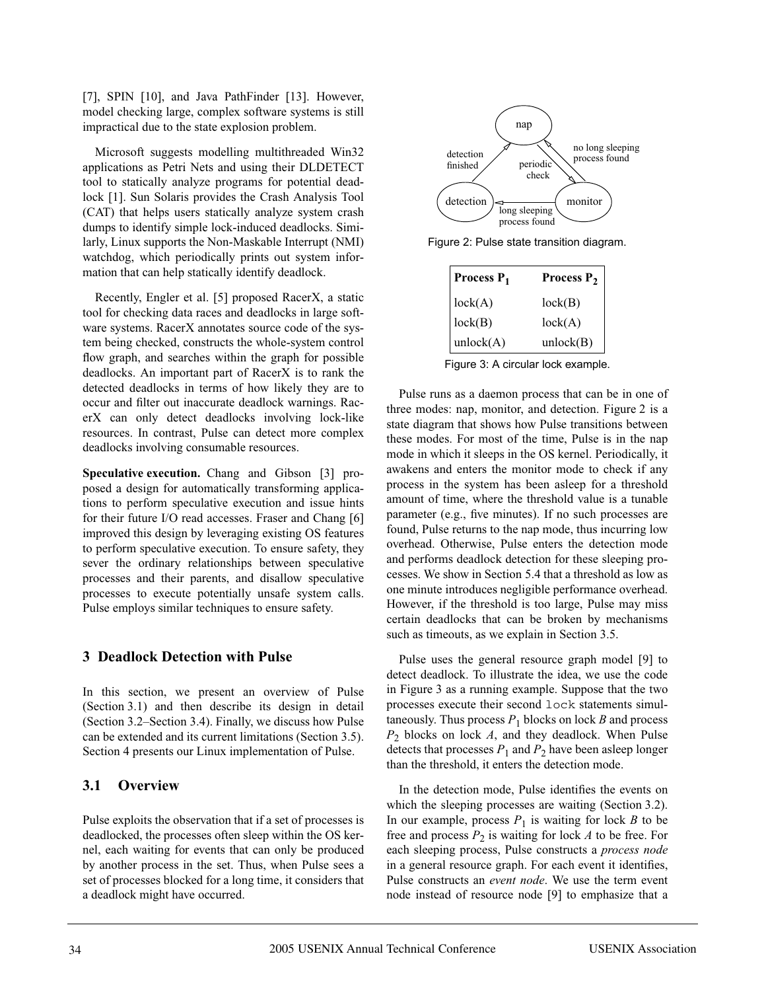[7], SPIN [10], and Java PathFinder [13]. However, model checking large, complex software systems is still impractical due to the state explosion problem.

Microsoft suggests modelling multithreaded Win32 applications as Petri Nets and using their DLDETECT tool to statically analyze programs for potential deadlock [1]. Sun Solaris provides the Crash Analysis Tool (CAT) that helps users statically analyze system crash dumps to identify simple lock-induced deadlocks. Similarly, Linux supports the Non-Maskable Interrupt (NMI) watchdog, which periodically prints out system information that can help statically identify deadlock.

Recently, Engler et al. [5] proposed RacerX, a static tool for checking data races and deadlocks in large software systems. RacerX annotates source code of the system being checked, constructs the whole-system control flow graph, and searches within the graph for possible deadlocks. An important part of RacerX is to rank the detected deadlocks in terms of how likely they are to occur and filter out inaccurate deadlock warnings. RacerX can only detect deadlocks involving lock-like resources. In contrast, Pulse can detect more complex deadlocks involving consumable resources.

**Speculative execution.** Chang and Gibson [3] proposed a design for automatically transforming applications to perform speculative execution and issue hints for their future I/O read accesses. Fraser and Chang [6] improved this design by leveraging existing OS features to perform speculative execution. To ensure safety, they sever the ordinary relationships between speculative processes and their parents, and disallow speculative processes to execute potentially unsafe system calls. Pulse employs similar techniques to ensure safety.

### **3 Deadlock Detection with Pulse**

In this section, we present an overview of Pulse (Section 3.1) and then describe its design in detail (Section 3.2–Section 3.4). Finally, we discuss how Pulse can be extended and its current limitations (Section 3.5). Section 4 presents our Linux implementation of Pulse.

## **3.1 Overview**

Pulse exploits the observation that if a set of processes is deadlocked, the processes often sleep within the OS kernel, each waiting for events that can only be produced by another process in the set. Thus, when Pulse sees a set of processes blocked for a long time, it considers that a deadlock might have occurred.



Figure 2: Pulse state transition diagram.

| Process P <sub>1</sub> | Process P <sub>2</sub> |
|------------------------|------------------------|
| lock(A)                | lock(B)                |
| lock(B)                | lock(A)                |
| unlock(A)              | unlock(B)              |

Figure 3: A circular lock example.

Pulse runs as a daemon process that can be in one of three modes: nap, monitor, and detection. Figure 2 is a state diagram that shows how Pulse transitions between these modes. For most of the time, Pulse is in the nap mode in which it sleeps in the OS kernel. Periodically, it awakens and enters the monitor mode to check if any process in the system has been asleep for a threshold amount of time, where the threshold value is a tunable parameter (e.g., five minutes). If no such processes are found, Pulse returns to the nap mode, thus incurring low overhead. Otherwise, Pulse enters the detection mode and performs deadlock detection for these sleeping processes. We show in Section 5.4 that a threshold as low as one minute introduces negligible performance overhead. However, if the threshold is too large, Pulse may miss certain deadlocks that can be broken by mechanisms such as timeouts, as we explain in Section 3.5.

Pulse uses the general resource graph model [9] to detect deadlock. To illustrate the idea, we use the code in Figure 3 as a running example. Suppose that the two processes execute their second lock statements simultaneously. Thus process  $P_1$  blocks on lock  $B$  and process *P*<sup>2</sup> blocks on lock *A*, and they deadlock. When Pulse detects that processes  $P_1$  and  $P_2$  have been asleep longer than the threshold, it enters the detection mode.

In the detection mode, Pulse identifies the events on which the sleeping processes are waiting (Section 3.2). In our example, process  $P_1$  is waiting for lock *B* to be free and process  $P_2$  is waiting for lock *A* to be free. For each sleeping process, Pulse constructs a *process node* in a general resource graph. For each event it identifies, Pulse constructs an *event node*. We use the term event node instead of resource node [9] to emphasize that a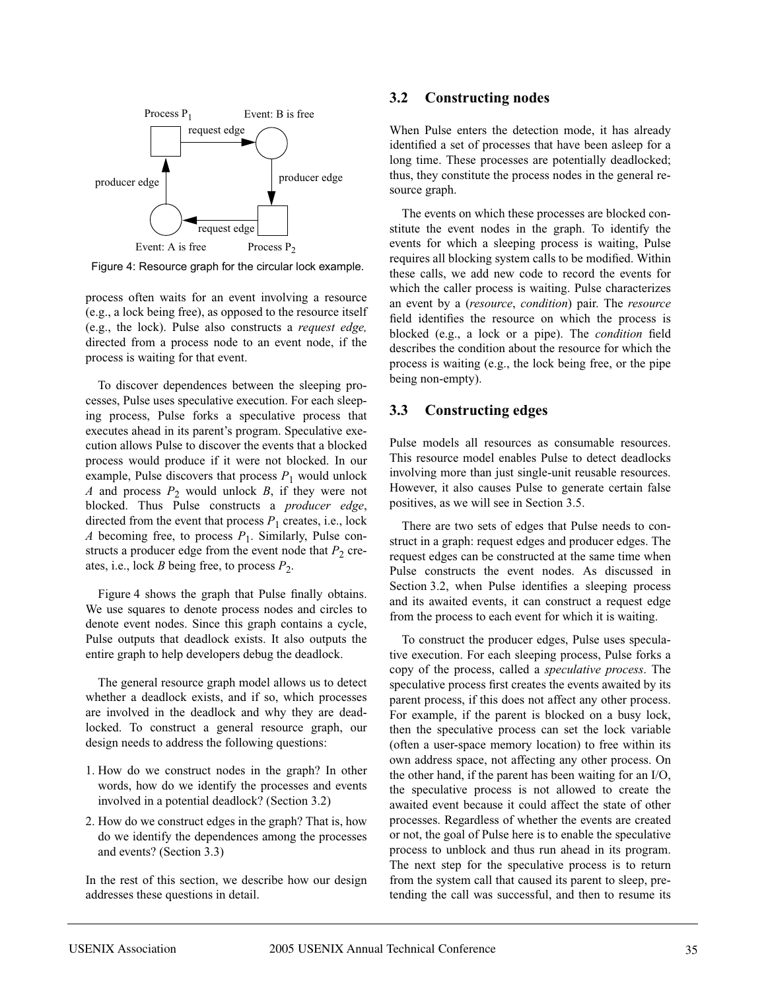

Figure 4: Resource graph for the circular lock example.

process often waits for an event involving a resource (e.g., a lock being free), as opposed to the resource itself (e.g., the lock). Pulse also constructs a *request edge,* directed from a process node to an event node, if the process is waiting for that event.

To discover dependences between the sleeping processes, Pulse uses speculative execution. For each sleeping process, Pulse forks a speculative process that executes ahead in its parent's program. Speculative execution allows Pulse to discover the events that a blocked process would produce if it were not blocked. In our example, Pulse discovers that process  $P_1$  would unlock *A* and process  $P_2$  would unlock *B*, if they were not blocked. Thus Pulse constructs a *producer edge*, directed from the event that process  $P_1$  creates, i.e., lock *A* becoming free, to process  $P_1$ . Similarly, Pulse constructs a producer edge from the event node that  $P_2$  creates, i.e., lock *B* being free, to process  $P_2$ .

Figure 4 shows the graph that Pulse finally obtains. We use squares to denote process nodes and circles to denote event nodes. Since this graph contains a cycle, Pulse outputs that deadlock exists. It also outputs the entire graph to help developers debug the deadlock.

The general resource graph model allows us to detect whether a deadlock exists, and if so, which processes are involved in the deadlock and why they are deadlocked. To construct a general resource graph, our design needs to address the following questions:

- 1. How do we construct nodes in the graph? In other words, how do we identify the processes and events involved in a potential deadlock? (Section 3.2)
- 2. How do we construct edges in the graph? That is, how do we identify the dependences among the processes and events? (Section 3.3)

In the rest of this section, we describe how our design addresses these questions in detail.

#### **3.2 Constructing nodes**

When Pulse enters the detection mode, it has already identified a set of processes that have been asleep for a long time. These processes are potentially deadlocked; thus, they constitute the process nodes in the general resource graph.

The events on which these processes are blocked constitute the event nodes in the graph. To identify the events for which a sleeping process is waiting, Pulse requires all blocking system calls to be modified. Within these calls, we add new code to record the events for which the caller process is waiting. Pulse characterizes an event by a (*resource*, *condition*) pair. The *resource* field identifies the resource on which the process is blocked (e.g., a lock or a pipe). The *condition* field describes the condition about the resource for which the process is waiting (e.g., the lock being free, or the pipe being non-empty).

### **3.3 Constructing edges**

Pulse models all resources as consumable resources. This resource model enables Pulse to detect deadlocks involving more than just single-unit reusable resources. However, it also causes Pulse to generate certain false positives, as we will see in Section 3.5.

There are two sets of edges that Pulse needs to construct in a graph: request edges and producer edges. The request edges can be constructed at the same time when Pulse constructs the event nodes. As discussed in Section 3.2, when Pulse identifies a sleeping process and its awaited events, it can construct a request edge from the process to each event for which it is waiting.

To construct the producer edges, Pulse uses speculative execution. For each sleeping process, Pulse forks a copy of the process, called a *speculative process*. The speculative process first creates the events awaited by its parent process, if this does not affect any other process. For example, if the parent is blocked on a busy lock, then the speculative process can set the lock variable (often a user-space memory location) to free within its own address space, not affecting any other process. On the other hand, if the parent has been waiting for an I/O, the speculative process is not allowed to create the awaited event because it could affect the state of other processes. Regardless of whether the events are created or not, the goal of Pulse here is to enable the speculative process to unblock and thus run ahead in its program. The next step for the speculative process is to return from the system call that caused its parent to sleep, pretending the call was successful, and then to resume its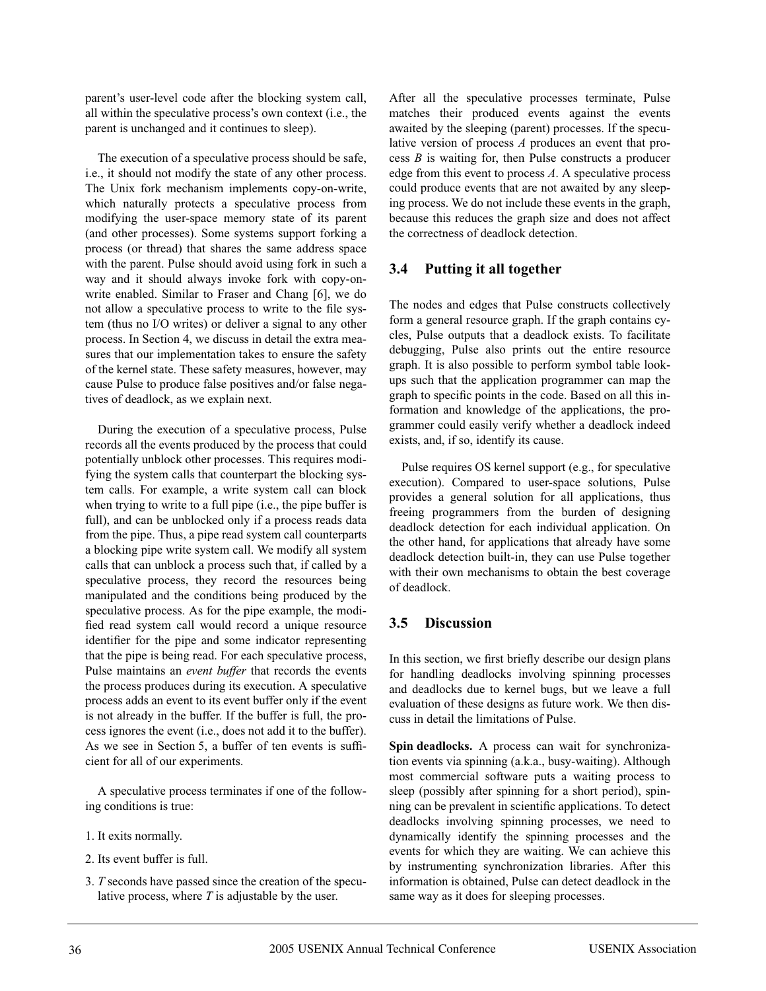parent's user-level code after the blocking system call, all within the speculative process's own context (i.e., the parent is unchanged and it continues to sleep).

The execution of a speculative process should be safe, i.e., it should not modify the state of any other process. The Unix fork mechanism implements copy-on-write, which naturally protects a speculative process from modifying the user-space memory state of its parent (and other processes). Some systems support forking a process (or thread) that shares the same address space with the parent. Pulse should avoid using fork in such a way and it should always invoke fork with copy-onwrite enabled. Similar to Fraser and Chang [6], we do not allow a speculative process to write to the file system (thus no I/O writes) or deliver a signal to any other process. In Section 4, we discuss in detail the extra measures that our implementation takes to ensure the safety of the kernel state. These safety measures, however, may cause Pulse to produce false positives and/or false negatives of deadlock, as we explain next.

During the execution of a speculative process, Pulse records all the events produced by the process that could potentially unblock other processes. This requires modifying the system calls that counterpart the blocking system calls. For example, a write system call can block when trying to write to a full pipe (i.e., the pipe buffer is full), and can be unblocked only if a process reads data from the pipe. Thus, a pipe read system call counterparts a blocking pipe write system call. We modify all system calls that can unblock a process such that, if called by a speculative process, they record the resources being manipulated and the conditions being produced by the speculative process. As for the pipe example, the modified read system call would record a unique resource identifier for the pipe and some indicator representing that the pipe is being read. For each speculative process, Pulse maintains an *event buffer* that records the events the process produces during its execution. A speculative process adds an event to its event buffer only if the event is not already in the buffer. If the buffer is full, the process ignores the event (i.e., does not add it to the buffer). As we see in Section 5, a buffer of ten events is sufficient for all of our experiments.

A speculative process terminates if one of the following conditions is true:

- 1. It exits normally.
- 2. Its event buffer is full.
- 3. *T* seconds have passed since the creation of the speculative process, where *T* is adjustable by the user.

After all the speculative processes terminate, Pulse matches their produced events against the events awaited by the sleeping (parent) processes. If the speculative version of process *A* produces an event that process *B* is waiting for, then Pulse constructs a producer edge from this event to process *A*. A speculative process could produce events that are not awaited by any sleeping process. We do not include these events in the graph, because this reduces the graph size and does not affect the correctness of deadlock detection.

### **3.4 Putting it all together**

The nodes and edges that Pulse constructs collectively form a general resource graph. If the graph contains cycles, Pulse outputs that a deadlock exists. To facilitate debugging, Pulse also prints out the entire resource graph. It is also possible to perform symbol table lookups such that the application programmer can map the graph to specific points in the code. Based on all this information and knowledge of the applications, the programmer could easily verify whether a deadlock indeed exists, and, if so, identify its cause.

Pulse requires OS kernel support (e.g., for speculative execution). Compared to user-space solutions, Pulse provides a general solution for all applications, thus freeing programmers from the burden of designing deadlock detection for each individual application. On the other hand, for applications that already have some deadlock detection built-in, they can use Pulse together with their own mechanisms to obtain the best coverage of deadlock.

## **3.5 Discussion**

In this section, we first briefly describe our design plans for handling deadlocks involving spinning processes and deadlocks due to kernel bugs, but we leave a full evaluation of these designs as future work. We then discuss in detail the limitations of Pulse.

**Spin deadlocks.** A process can wait for synchronization events via spinning (a.k.a., busy-waiting). Although most commercial software puts a waiting process to sleep (possibly after spinning for a short period), spinning can be prevalent in scientific applications. To detect deadlocks involving spinning processes, we need to dynamically identify the spinning processes and the events for which they are waiting. We can achieve this by instrumenting synchronization libraries. After this information is obtained, Pulse can detect deadlock in the same way as it does for sleeping processes.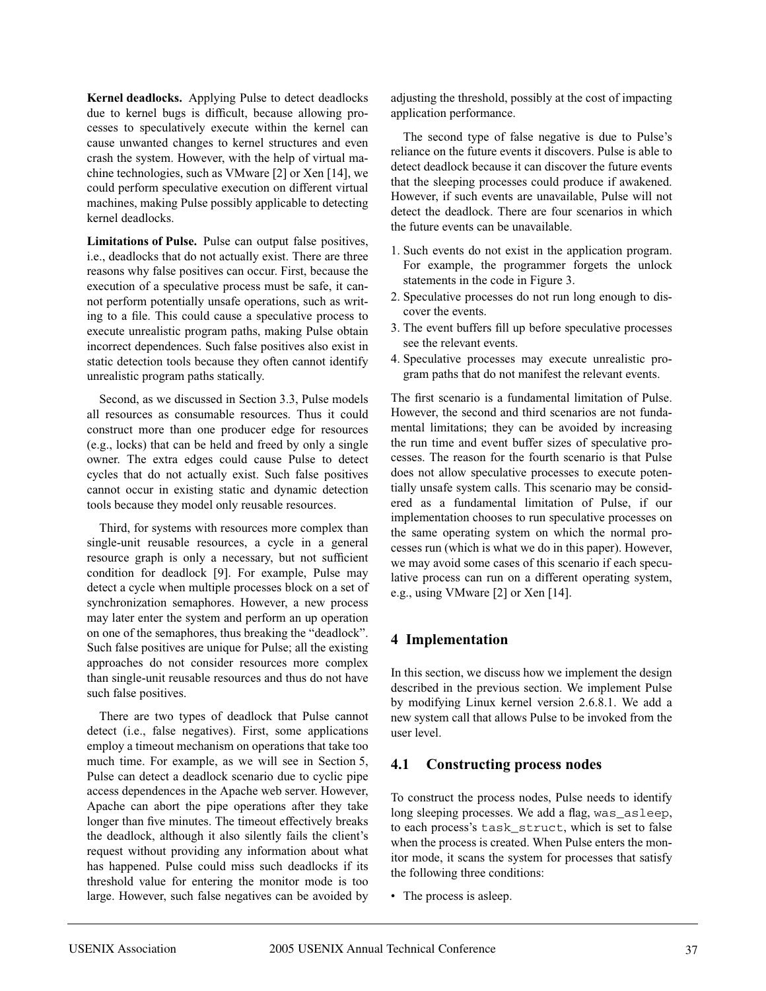**Kernel deadlocks.** Applying Pulse to detect deadlocks due to kernel bugs is difficult, because allowing processes to speculatively execute within the kernel can cause unwanted changes to kernel structures and even crash the system. However, with the help of virtual machine technologies, such as VMware [2] or Xen [14], we could perform speculative execution on different virtual machines, making Pulse possibly applicable to detecting kernel deadlocks.

**Limitations of Pulse.** Pulse can output false positives, i.e., deadlocks that do not actually exist. There are three reasons why false positives can occur. First, because the execution of a speculative process must be safe, it cannot perform potentially unsafe operations, such as writing to a file. This could cause a speculative process to execute unrealistic program paths, making Pulse obtain incorrect dependences. Such false positives also exist in static detection tools because they often cannot identify unrealistic program paths statically.

Second, as we discussed in Section 3.3, Pulse models all resources as consumable resources. Thus it could construct more than one producer edge for resources (e.g., locks) that can be held and freed by only a single owner. The extra edges could cause Pulse to detect cycles that do not actually exist. Such false positives cannot occur in existing static and dynamic detection tools because they model only reusable resources.

Third, for systems with resources more complex than single-unit reusable resources, a cycle in a general resource graph is only a necessary, but not sufficient condition for deadlock [9]. For example, Pulse may detect a cycle when multiple processes block on a set of synchronization semaphores. However, a new process may later enter the system and perform an up operation on one of the semaphores, thus breaking the "deadlock". Such false positives are unique for Pulse; all the existing approaches do not consider resources more complex than single-unit reusable resources and thus do not have such false positives.

There are two types of deadlock that Pulse cannot detect (i.e., false negatives). First, some applications employ a timeout mechanism on operations that take too much time. For example, as we will see in Section 5, Pulse can detect a deadlock scenario due to cyclic pipe access dependences in the Apache web server. However, Apache can abort the pipe operations after they take longer than five minutes. The timeout effectively breaks the deadlock, although it also silently fails the client's request without providing any information about what has happened. Pulse could miss such deadlocks if its threshold value for entering the monitor mode is too large. However, such false negatives can be avoided by

adjusting the threshold, possibly at the cost of impacting application performance.

The second type of false negative is due to Pulse's reliance on the future events it discovers. Pulse is able to detect deadlock because it can discover the future events that the sleeping processes could produce if awakened. However, if such events are unavailable, Pulse will not detect the deadlock. There are four scenarios in which the future events can be unavailable.

- 1. Such events do not exist in the application program. For example, the programmer forgets the unlock statements in the code in Figure 3.
- 2. Speculative processes do not run long enough to discover the events.
- 3. The event buffers fill up before speculative processes see the relevant events.
- 4. Speculative processes may execute unrealistic program paths that do not manifest the relevant events.

The first scenario is a fundamental limitation of Pulse. However, the second and third scenarios are not fundamental limitations; they can be avoided by increasing the run time and event buffer sizes of speculative processes. The reason for the fourth scenario is that Pulse does not allow speculative processes to execute potentially unsafe system calls. This scenario may be considered as a fundamental limitation of Pulse, if our implementation chooses to run speculative processes on the same operating system on which the normal processes run (which is what we do in this paper). However, we may avoid some cases of this scenario if each speculative process can run on a different operating system, e.g., using VMware [2] or Xen [14].

### **4 Implementation**

In this section, we discuss how we implement the design described in the previous section. We implement Pulse by modifying Linux kernel version 2.6.8.1. We add a new system call that allows Pulse to be invoked from the user level.

### **4.1 Constructing process nodes**

To construct the process nodes, Pulse needs to identify long sleeping processes. We add a flag, was\_asleep, to each process's task\_struct, which is set to false when the process is created. When Pulse enters the monitor mode, it scans the system for processes that satisfy the following three conditions:

• The process is asleep.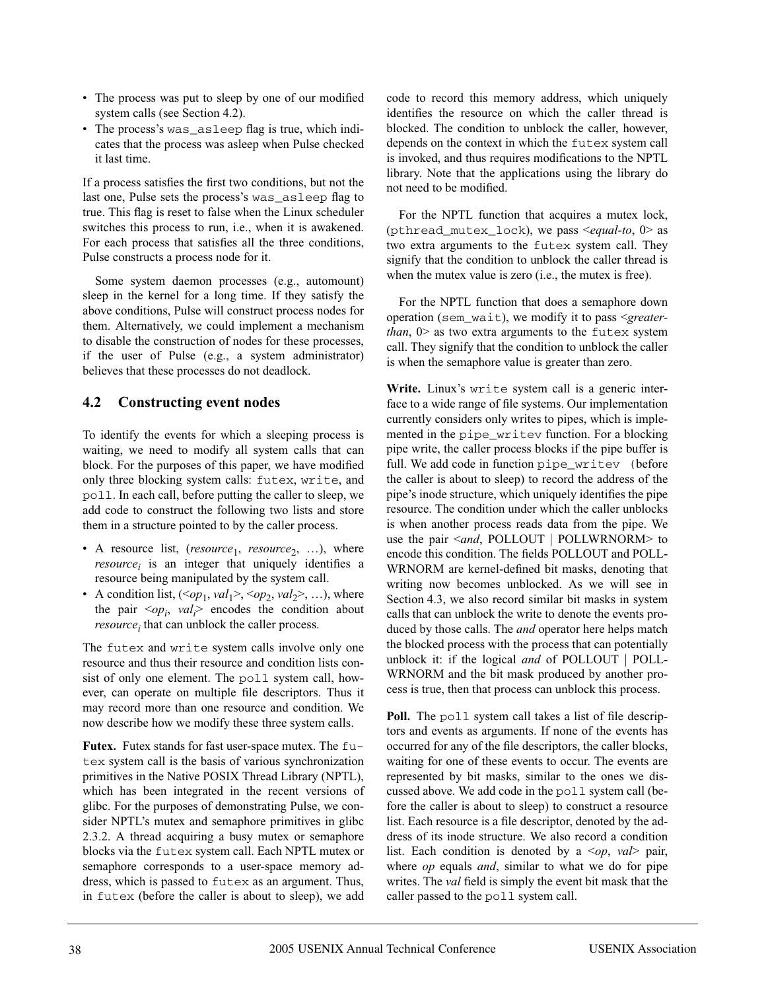- The process was put to sleep by one of our modified system calls (see Section 4.2).
- The process's was\_asleep flag is true, which indicates that the process was asleep when Pulse checked it last time.

If a process satisfies the first two conditions, but not the last one, Pulse sets the process's was\_asleep flag to true. This flag is reset to false when the Linux scheduler switches this process to run, i.e., when it is awakened. For each process that satisfies all the three conditions, Pulse constructs a process node for it.

Some system daemon processes (e.g., automount) sleep in the kernel for a long time. If they satisfy the above conditions, Pulse will construct process nodes for them. Alternatively, we could implement a mechanism to disable the construction of nodes for these processes, if the user of Pulse (e.g., a system administrator) believes that these processes do not deadlock.

# **4.2 Constructing event nodes**

To identify the events for which a sleeping process is waiting, we need to modify all system calls that can block. For the purposes of this paper, we have modified only three blocking system calls: futex, write, and poll. In each call, before putting the caller to sleep, we add code to construct the following two lists and store them in a structure pointed to by the caller process.

- A resource list, (*resource*<sub>1</sub>, *resource*<sub>2</sub>, ...), where  $resource_i$  is an integer that uniquely identifies a resource being manipulated by the system call.
- A condition list,  $(*op*<sub>1</sub>, *val*<sub>1</sub><>,>, *op*<sub>2</sub>, *val*<sub>2</sub><>, , ...), where$ the pair  $\langle op_i, val_i \rangle$  encodes the condition about *resource<sub>i</sub>* that can unblock the caller process.

The futex and write system calls involve only one resource and thus their resource and condition lists consist of only one element. The poll system call, however, can operate on multiple file descriptors. Thus it may record more than one resource and condition. We now describe how we modify these three system calls.

**Futex.** Futex stands for fast user-space mutex. The futex system call is the basis of various synchronization primitives in the Native POSIX Thread Library (NPTL), which has been integrated in the recent versions of glibc. For the purposes of demonstrating Pulse, we consider NPTL's mutex and semaphore primitives in glibc 2.3.2. A thread acquiring a busy mutex or semaphore blocks via the futex system call. Each NPTL mutex or semaphore corresponds to a user-space memory address, which is passed to futex as an argument. Thus, in futex (before the caller is about to sleep), we add code to record this memory address, which uniquely identifies the resource on which the caller thread is blocked. The condition to unblock the caller, however, depends on the context in which the futex system call is invoked, and thus requires modifications to the NPTL library. Note that the applications using the library do not need to be modified.

For the NPTL function that acquires a mutex lock, (pthread\_mutex\_lock), we pass <*equal-to*, 0> as two extra arguments to the futex system call. They signify that the condition to unblock the caller thread is when the mutex value is zero (i.e., the mutex is free).

For the NPTL function that does a semaphore down operation (sem\_wait), we modify it to pass <*greaterthan*,  $0$  as two extra arguments to the futex system call. They signify that the condition to unblock the caller is when the semaphore value is greater than zero.

**Write.** Linux's write system call is a generic interface to a wide range of file systems. Our implementation currently considers only writes to pipes, which is implemented in the pipe\_writev function. For a blocking pipe write, the caller process blocks if the pipe buffer is full. We add code in function pipe writev (before the caller is about to sleep) to record the address of the pipe's inode structure, which uniquely identifies the pipe resource. The condition under which the caller unblocks is when another process reads data from the pipe. We use the pair <*and*, POLLOUT | POLLWRNORM> to encode this condition. The fields POLLOUT and POLL-WRNORM are kernel-defined bit masks, denoting that writing now becomes unblocked. As we will see in Section 4.3, we also record similar bit masks in system calls that can unblock the write to denote the events produced by those calls. The *and* operator here helps match the blocked process with the process that can potentially unblock it: if the logical *and* of POLLOUT | POLL-WRNORM and the bit mask produced by another process is true, then that process can unblock this process.

Poll. The poll system call takes a list of file descriptors and events as arguments. If none of the events has occurred for any of the file descriptors, the caller blocks, waiting for one of these events to occur. The events are represented by bit masks, similar to the ones we discussed above. We add code in the poll system call (before the caller is about to sleep) to construct a resource list. Each resource is a file descriptor, denoted by the address of its inode structure. We also record a condition list. Each condition is denoted by a <*op*, *val*> pair, where *op* equals *and*, similar to what we do for pipe writes. The *val* field is simply the event bit mask that the caller passed to the poll system call.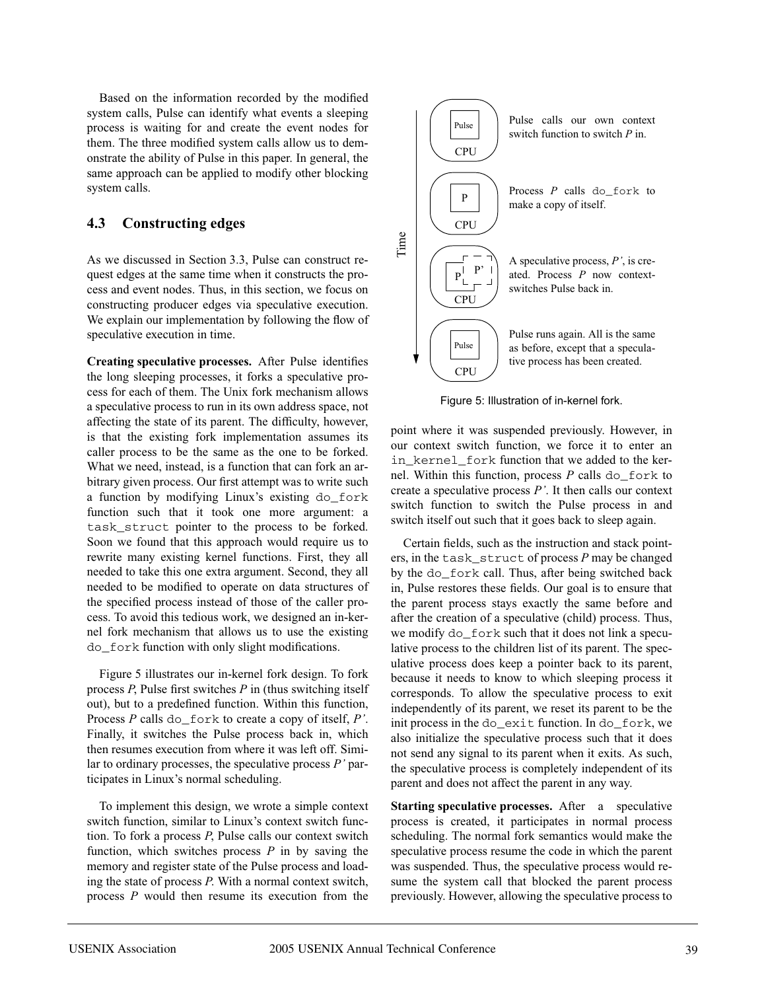Based on the information recorded by the modified system calls, Pulse can identify what events a sleeping process is waiting for and create the event nodes for them. The three modified system calls allow us to demonstrate the ability of Pulse in this paper. In general, the same approach can be applied to modify other blocking system calls.

### **4.3 Constructing edges**

As we discussed in Section 3.3, Pulse can construct request edges at the same time when it constructs the process and event nodes. Thus, in this section, we focus on constructing producer edges via speculative execution. We explain our implementation by following the flow of speculative execution in time.

**Creating speculative processes.** After Pulse identifies the long sleeping processes, it forks a speculative process for each of them. The Unix fork mechanism allows a speculative process to run in its own address space, not affecting the state of its parent. The difficulty, however, is that the existing fork implementation assumes its caller process to be the same as the one to be forked. What we need, instead, is a function that can fork an arbitrary given process. Our first attempt was to write such a function by modifying Linux's existing do\_fork function such that it took one more argument: a task\_struct pointer to the process to be forked. Soon we found that this approach would require us to rewrite many existing kernel functions. First, they all needed to take this one extra argument. Second, they all needed to be modified to operate on data structures of the specified process instead of those of the caller process. To avoid this tedious work, we designed an in-kernel fork mechanism that allows us to use the existing do\_fork function with only slight modifications.

Figure 5 illustrates our in-kernel fork design. To fork process *P*, Pulse first switches *P* in (thus switching itself out), but to a predefined function. Within this function, Process *P* calls do\_fork to create a copy of itself, *P'*. Finally, it switches the Pulse process back in, which then resumes execution from where it was left off. Similar to ordinary processes, the speculative process *P'* participates in Linux's normal scheduling.

To implement this design, we wrote a simple context switch function, similar to Linux's context switch function. To fork a process *P*, Pulse calls our context switch function, which switches process *P* in by saving the memory and register state of the Pulse process and loading the state of process *P*. With a normal context switch, process *P* would then resume its execution from the



Figure 5: Illustration of in-kernel fork.

point where it was suspended previously. However, in our context switch function, we force it to enter an in kernel fork function that we added to the kernel. Within this function, process *P* calls do\_fork to create a speculative process *P'*. It then calls our context switch function to switch the Pulse process in and switch itself out such that it goes back to sleep again.

Certain fields, such as the instruction and stack pointers, in the task\_struct of process *P* may be changed by the do fork call. Thus, after being switched back in, Pulse restores these fields. Our goal is to ensure that the parent process stays exactly the same before and after the creation of a speculative (child) process. Thus, we modify do\_fork such that it does not link a speculative process to the children list of its parent. The speculative process does keep a pointer back to its parent, because it needs to know to which sleeping process it corresponds. To allow the speculative process to exit independently of its parent, we reset its parent to be the init process in the do\_exit function. In do\_fork, we also initialize the speculative process such that it does not send any signal to its parent when it exits. As such, the speculative process is completely independent of its parent and does not affect the parent in any way.

**Starting speculative processes.** After a speculative process is created, it participates in normal process scheduling. The normal fork semantics would make the speculative process resume the code in which the parent was suspended. Thus, the speculative process would resume the system call that blocked the parent process previously. However, allowing the speculative process to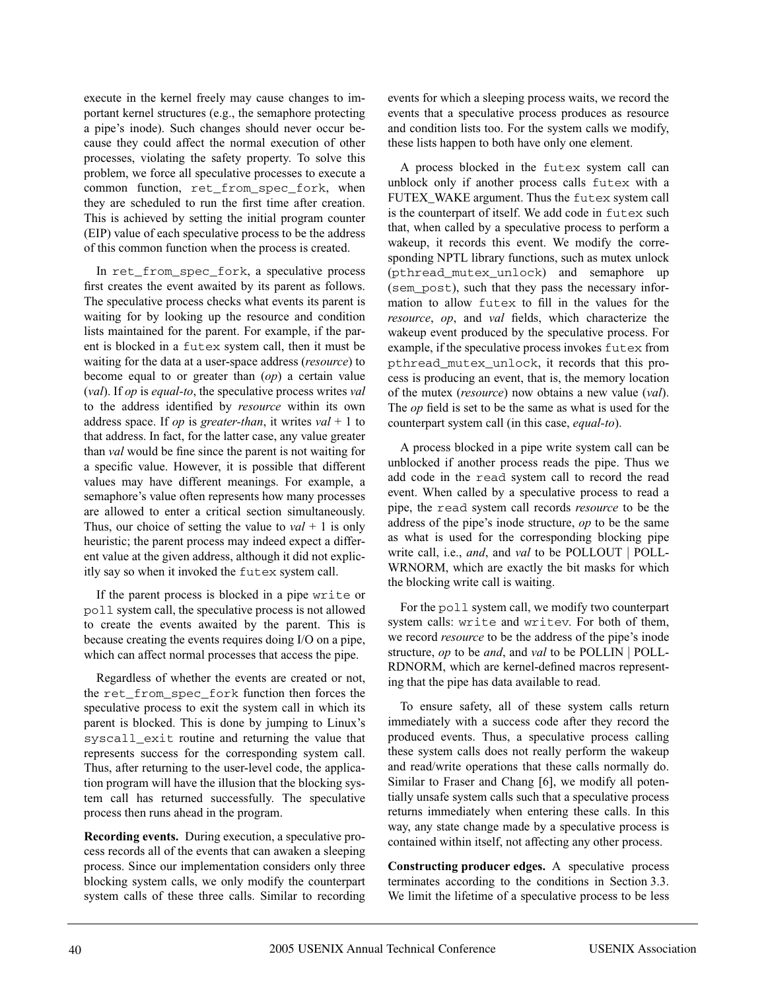execute in the kernel freely may cause changes to important kernel structures (e.g., the semaphore protecting a pipe's inode). Such changes should never occur because they could affect the normal execution of other processes, violating the safety property. To solve this problem, we force all speculative processes to execute a common function, ret from spec fork, when they are scheduled to run the first time after creation. This is achieved by setting the initial program counter (EIP) value of each speculative process to be the address of this common function when the process is created.

In ret\_from\_spec\_fork, a speculative process first creates the event awaited by its parent as follows. The speculative process checks what events its parent is waiting for by looking up the resource and condition lists maintained for the parent. For example, if the parent is blocked in a futex system call, then it must be waiting for the data at a user-space address (*resource*) to become equal to or greater than (*op*) a certain value (*val*). If *op* is *equal-to*, the speculative process writes *val* to the address identified by *resource* within its own address space. If *op* is *greater-than*, it writes *val* + 1 to that address. In fact, for the latter case, any value greater than *val* would be fine since the parent is not waiting for a specific value. However, it is possible that different values may have different meanings. For example, a semaphore's value often represents how many processes are allowed to enter a critical section simultaneously. Thus, our choice of setting the value to *val* + 1 is only heuristic; the parent process may indeed expect a different value at the given address, although it did not explicitly say so when it invoked the futex system call.

If the parent process is blocked in a pipe write or poll system call, the speculative process is not allowed to create the events awaited by the parent. This is because creating the events requires doing I/O on a pipe, which can affect normal processes that access the pipe.

Regardless of whether the events are created or not, the ret\_from\_spec\_fork function then forces the speculative process to exit the system call in which its parent is blocked. This is done by jumping to Linux's syscall\_exit routine and returning the value that represents success for the corresponding system call. Thus, after returning to the user-level code, the application program will have the illusion that the blocking system call has returned successfully. The speculative process then runs ahead in the program.

**Recording events.** During execution, a speculative process records all of the events that can awaken a sleeping process. Since our implementation considers only three blocking system calls, we only modify the counterpart system calls of these three calls. Similar to recording events for which a sleeping process waits, we record the events that a speculative process produces as resource and condition lists too. For the system calls we modify, these lists happen to both have only one element.

A process blocked in the futex system call can unblock only if another process calls futex with a FUTEX\_WAKE argument. Thus the futex system call is the counterpart of itself. We add code in futex such that, when called by a speculative process to perform a wakeup, it records this event. We modify the corresponding NPTL library functions, such as mutex unlock (pthread\_mutex\_unlock) and semaphore up (sem\_post), such that they pass the necessary information to allow futex to fill in the values for the *resource*, *op*, and *val* fields, which characterize the wakeup event produced by the speculative process. For example, if the speculative process invokes futex from pthread\_mutex\_unlock, it records that this process is producing an event, that is, the memory location of the mutex (*resource*) now obtains a new value (*val*). The *op* field is set to be the same as what is used for the counterpart system call (in this case, *equal-to*).

A process blocked in a pipe write system call can be unblocked if another process reads the pipe. Thus we add code in the read system call to record the read event. When called by a speculative process to read a pipe, the read system call records *resource* to be the address of the pipe's inode structure, *op* to be the same as what is used for the corresponding blocking pipe write call, i.e., *and*, and *val* to be POLLOUT | POLL-WRNORM, which are exactly the bit masks for which the blocking write call is waiting.

For the poll system call, we modify two counterpart system calls: write and writev. For both of them, we record *resource* to be the address of the pipe's inode structure, *op* to be *and*, and *val* to be POLLIN | POLL-RDNORM, which are kernel-defined macros representing that the pipe has data available to read.

To ensure safety, all of these system calls return immediately with a success code after they record the produced events. Thus, a speculative process calling these system calls does not really perform the wakeup and read/write operations that these calls normally do. Similar to Fraser and Chang [6], we modify all potentially unsafe system calls such that a speculative process returns immediately when entering these calls. In this way, any state change made by a speculative process is contained within itself, not affecting any other process.

**Constructing producer edges.** A speculative process terminates according to the conditions in Section 3.3. We limit the lifetime of a speculative process to be less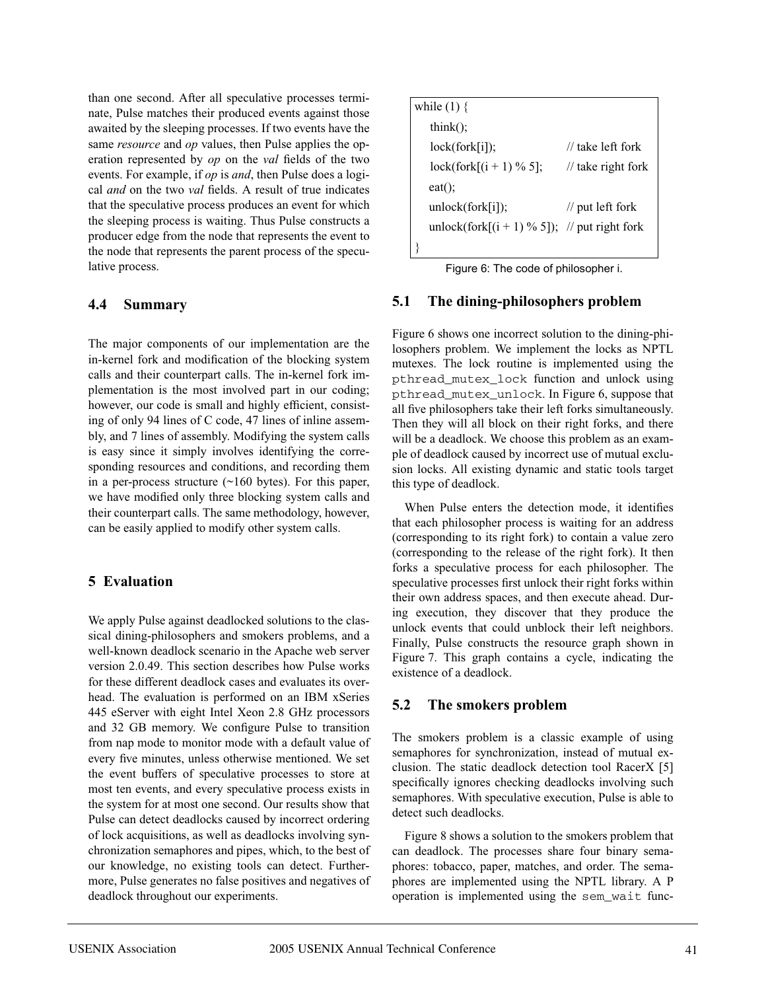than one second. After all speculative processes terminate, Pulse matches their produced events against those awaited by the sleeping processes. If two events have the same *resource* and *op* values, then Pulse applies the operation represented by *op* on the *val* fields of the two events. For example, if *op* is *and*, then Pulse does a logical *and* on the two *val* fields. A result of true indicates that the speculative process produces an event for which the sleeping process is waiting. Thus Pulse constructs a producer edge from the node that represents the event to the node that represents the parent process of the speculative process.

### **4.4 Summary**

The major components of our implementation are the in-kernel fork and modification of the blocking system calls and their counterpart calls. The in-kernel fork implementation is the most involved part in our coding; however, our code is small and highly efficient, consisting of only 94 lines of C code, 47 lines of inline assembly, and 7 lines of assembly. Modifying the system calls is easy since it simply involves identifying the corresponding resources and conditions, and recording them in a per-process structure  $(~160$  bytes). For this paper, we have modified only three blocking system calls and their counterpart calls. The same methodology, however, can be easily applied to modify other system calls.

## **5 Evaluation**

We apply Pulse against deadlocked solutions to the classical dining-philosophers and smokers problems, and a well-known deadlock scenario in the Apache web server version 2.0.49. This section describes how Pulse works for these different deadlock cases and evaluates its overhead. The evaluation is performed on an IBM xSeries 445 eServer with eight Intel Xeon 2.8 GHz processors and 32 GB memory. We configure Pulse to transition from nap mode to monitor mode with a default value of every five minutes, unless otherwise mentioned. We set the event buffers of speculative processes to store at most ten events, and every speculative process exists in the system for at most one second. Our results show that Pulse can detect deadlocks caused by incorrect ordering of lock acquisitions, as well as deadlocks involving synchronization semaphores and pipes, which, to the best of our knowledge, no existing tools can detect. Furthermore, Pulse generates no false positives and negatives of deadlock throughout our experiments.

| while $(1)$ {                                   |                                 |
|-------------------------------------------------|---------------------------------|
| $\text{think}$ :                                |                                 |
| lock(fork[i]);                                  | // take left fork               |
| $lock(fork[(i + 1) \% 5];$                      | $\frac{1}{\pi}$ take right fork |
| $eat()$ ;                                       |                                 |
| unlock(fork[i]);                                | $\frac{1}{\pi}$ put left fork   |
| unlock(fork[ $(i + 1)$ % 5]); // put right fork |                                 |
|                                                 |                                 |

Figure 6: The code of philosopher i.

### **5.1 The dining-philosophers problem**

Figure 6 shows one incorrect solution to the dining-philosophers problem. We implement the locks as NPTL mutexes. The lock routine is implemented using the pthread\_mutex\_lock function and unlock using pthread\_mutex\_unlock. In Figure 6, suppose that all five philosophers take their left forks simultaneously. Then they will all block on their right forks, and there will be a deadlock. We choose this problem as an example of deadlock caused by incorrect use of mutual exclusion locks. All existing dynamic and static tools target this type of deadlock.

When Pulse enters the detection mode, it identifies that each philosopher process is waiting for an address (corresponding to its right fork) to contain a value zero (corresponding to the release of the right fork). It then forks a speculative process for each philosopher. The speculative processes first unlock their right forks within their own address spaces, and then execute ahead. During execution, they discover that they produce the unlock events that could unblock their left neighbors. Finally, Pulse constructs the resource graph shown in Figure 7. This graph contains a cycle, indicating the existence of a deadlock.

## **5.2 The smokers problem**

The smokers problem is a classic example of using semaphores for synchronization, instead of mutual exclusion. The static deadlock detection tool RacerX [5] specifically ignores checking deadlocks involving such semaphores. With speculative execution, Pulse is able to detect such deadlocks.

Figure 8 shows a solution to the smokers problem that can deadlock. The processes share four binary semaphores: tobacco, paper, matches, and order. The semaphores are implemented using the NPTL library. A P operation is implemented using the sem\_wait func-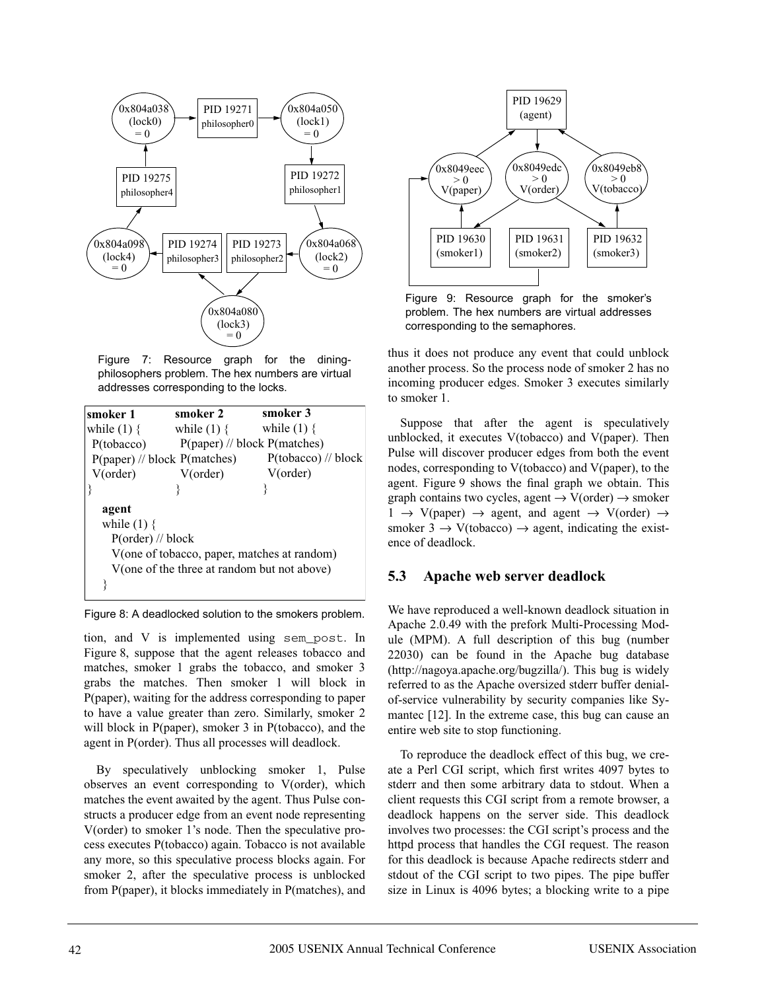

Figure 7: Resource graph for the diningphilosophers problem. The hex numbers are virtual addresses corresponding to the locks.

| smoker 1            | smoker 2                                    | smoker 3                                    |
|---------------------|---------------------------------------------|---------------------------------------------|
| while $(1)$ {       | while $(1)$ {                               | while $(1)$ {                               |
| P(tobacco)          | $P(paper)$ // block $P(matches)$            |                                             |
|                     | $P(paper)$ // block $P(matches)$            | $P(tobacco)$ // block                       |
| V(order)            | V(order)                                    | V(order)                                    |
|                     |                                             |                                             |
| agent               |                                             |                                             |
| while $(1)$ {       |                                             |                                             |
| $P(order)$ // block |                                             |                                             |
|                     |                                             | V(one of tobacco, paper, matches at random) |
|                     | V(one of the three at random but not above) |                                             |
|                     |                                             |                                             |

Figure 8: A deadlocked solution to the smokers problem.

tion, and V is implemented using sem\_post. In Figure 8, suppose that the agent releases tobacco and matches, smoker 1 grabs the tobacco, and smoker 3 grabs the matches. Then smoker 1 will block in P(paper), waiting for the address corresponding to paper to have a value greater than zero. Similarly, smoker 2 will block in P(paper), smoker 3 in P(tobacco), and the agent in P(order). Thus all processes will deadlock.

By speculatively unblocking smoker 1, Pulse observes an event corresponding to V(order), which matches the event awaited by the agent. Thus Pulse constructs a producer edge from an event node representing V(order) to smoker 1's node. Then the speculative process executes P(tobacco) again. Tobacco is not available any more, so this speculative process blocks again. For smoker 2, after the speculative process is unblocked from P(paper), it blocks immediately in P(matches), and



Figure 9: Resource graph for the smoker's problem. The hex numbers are virtual addresses corresponding to the semaphores.

thus it does not produce any event that could unblock another process. So the process node of smoker 2 has no incoming producer edges. Smoker 3 executes similarly to smoker 1.

Suppose that after the agent is speculatively unblocked, it executes V(tobacco) and V(paper). Then Pulse will discover producer edges from both the event nodes, corresponding to V(tobacco) and V(paper), to the agent. Figure 9 shows the final graph we obtain. This graph contains two cycles, agent  $\rightarrow$  V(order)  $\rightarrow$  smoker  $1 \rightarrow V(paper) \rightarrow agent$ , and agent  $\rightarrow V(order) \rightarrow$ smoker 3  $\rightarrow$  V(tobacco)  $\rightarrow$  agent, indicating the existence of deadlock.

# **5.3 Apache web server deadlock**

We have reproduced a well-known deadlock situation in Apache 2.0.49 with the prefork Multi-Processing Module (MPM). A full description of this bug (number 22030) can be found in the Apache bug database (http://nagoya.apache.org/bugzilla/). This bug is widely referred to as the Apache oversized stderr buffer denialof-service vulnerability by security companies like Symantec [12]. In the extreme case, this bug can cause an entire web site to stop functioning.

To reproduce the deadlock effect of this bug, we create a Perl CGI script, which first writes 4097 bytes to stderr and then some arbitrary data to stdout. When a client requests this CGI script from a remote browser, a deadlock happens on the server side. This deadlock involves two processes: the CGI script's process and the httpd process that handles the CGI request. The reason for this deadlock is because Apache redirects stderr and stdout of the CGI script to two pipes. The pipe buffer size in Linux is 4096 bytes; a blocking write to a pipe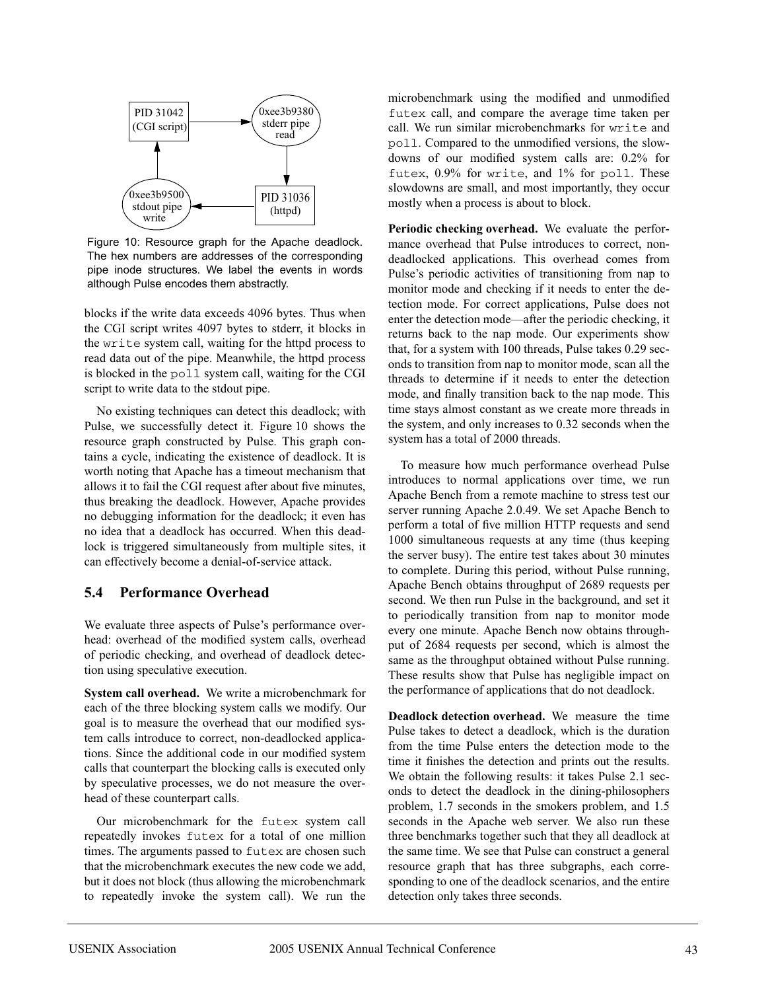

Figure 10: Resource graph for the Apache deadlock. The hex numbers are addresses of the corresponding pipe inode structures. We label the events in words although Pulse encodes them abstractly.

blocks if the write data exceeds 4096 bytes. Thus when the CGI script writes 4097 bytes to stderr, it blocks in the write system call, waiting for the httpd process to read data out of the pipe. Meanwhile, the httpd process is blocked in the poll system call, waiting for the CGI script to write data to the stdout pipe.

No existing techniques can detect this deadlock; with Pulse, we successfully detect it. Figure 10 shows the resource graph constructed by Pulse. This graph contains a cycle, indicating the existence of deadlock. It is worth noting that Apache has a timeout mechanism that allows it to fail the CGI request after about five minutes, thus breaking the deadlock. However, Apache provides no debugging information for the deadlock; it even has no idea that a deadlock has occurred. When this deadlock is triggered simultaneously from multiple sites, it can effectively become a denial-of-service attack.

### **5.4 Performance Overhead**

We evaluate three aspects of Pulse's performance overhead: overhead of the modified system calls, overhead of periodic checking, and overhead of deadlock detection using speculative execution.

**System call overhead.** We write a microbenchmark for each of the three blocking system calls we modify. Our goal is to measure the overhead that our modified system calls introduce to correct, non-deadlocked applications. Since the additional code in our modified system calls that counterpart the blocking calls is executed only by speculative processes, we do not measure the overhead of these counterpart calls.

Our microbenchmark for the futex system call repeatedly invokes futex for a total of one million times. The arguments passed to futex are chosen such that the microbenchmark executes the new code we add, but it does not block (thus allowing the microbenchmark to repeatedly invoke the system call). We run the

microbenchmark using the modified and unmodified futex call, and compare the average time taken per call. We run similar microbenchmarks for write and poll. Compared to the unmodified versions, the slowdowns of our modified system calls are: 0.2% for futex, 0.9% for write, and 1% for poll. These slowdowns are small, and most importantly, they occur mostly when a process is about to block.

**Periodic checking overhead.** We evaluate the performance overhead that Pulse introduces to correct, nondeadlocked applications. This overhead comes from Pulse's periodic activities of transitioning from nap to monitor mode and checking if it needs to enter the detection mode. For correct applications, Pulse does not enter the detection mode—after the periodic checking, it returns back to the nap mode. Our experiments show that, for a system with 100 threads, Pulse takes 0.29 seconds to transition from nap to monitor mode, scan all the threads to determine if it needs to enter the detection mode, and finally transition back to the nap mode. This time stays almost constant as we create more threads in the system, and only increases to 0.32 seconds when the system has a total of 2000 threads.

To measure how much performance overhead Pulse introduces to normal applications over time, we run Apache Bench from a remote machine to stress test our server running Apache 2.0.49. We set Apache Bench to perform a total of five million HTTP requests and send 1000 simultaneous requests at any time (thus keeping the server busy). The entire test takes about 30 minutes to complete. During this period, without Pulse running, Apache Bench obtains throughput of 2689 requests per second. We then run Pulse in the background, and set it to periodically transition from nap to monitor mode every one minute. Apache Bench now obtains throughput of 2684 requests per second, which is almost the same as the throughput obtained without Pulse running. These results show that Pulse has negligible impact on the performance of applications that do not deadlock.

**Deadlock detection overhead.** We measure the time Pulse takes to detect a deadlock, which is the duration from the time Pulse enters the detection mode to the time it finishes the detection and prints out the results. We obtain the following results: it takes Pulse 2.1 seconds to detect the deadlock in the dining-philosophers problem, 1.7 seconds in the smokers problem, and 1.5 seconds in the Apache web server. We also run these three benchmarks together such that they all deadlock at the same time. We see that Pulse can construct a general resource graph that has three subgraphs, each corresponding to one of the deadlock scenarios, and the entire detection only takes three seconds.